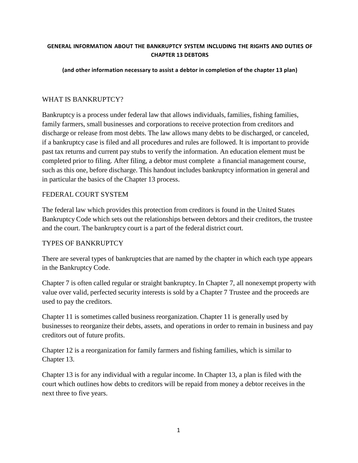#### **GENERAL INFORMATION ABOUT THE BANKRUPTCY SYSTEM INCLUDING THE RIGHTS AND DUTIES OF CHAPTER 13 DEBTORS**

#### **(and other information necessary to assist a debtor in completion of the chapter 13 plan)**

### WHAT IS BANKRUPTCY?

Bankruptcy is a process under federal law that allows individuals, families, fishing families, family farmers, small businesses and corporations to receive protection from creditors and discharge or release from most debts. The law allows many debts to be discharged, or canceled, if a bankruptcy case is filed and all procedures and rules are followed. It is important to provide past tax returns and current pay stubs to verify the information. An education element must be completed prior to filing. After filing, a debtor must complete a financial management course, such as this one, before discharge. This handout includes bankruptcy information in general and in particular the basics of the Chapter 13 process.

### FEDERAL COURT SYSTEM

The federal law which provides this protection from creditors is found in the United States Bankruptcy Code which sets out the relationships between debtors and their creditors, the trustee and the court. The bankruptcy court is a part of the federal district court.

#### TYPES OF BANKRUPTCY

There are several types of bankruptcies that are named by the chapter in which each type appears in the Bankruptcy Code.

Chapter 7 is often called regular or straight bankruptcy. In Chapter 7, all nonexempt property with value over valid, perfected security interests is sold by a Chapter 7 Trustee and the proceeds are used to pay the creditors.

Chapter 11 is sometimes called business reorganization. Chapter 11 is generally used by businesses to reorganize their debts, assets, and operations in order to remain in business and pay creditors out of future profits.

Chapter 12 is a reorganization for family farmers and fishing families, which is similar to Chapter 13.

Chapter 13 is for any individual with a regular income. In Chapter 13, a plan is filed with the court which outlines how debts to creditors will be repaid from money a debtor receives in the next three to five years.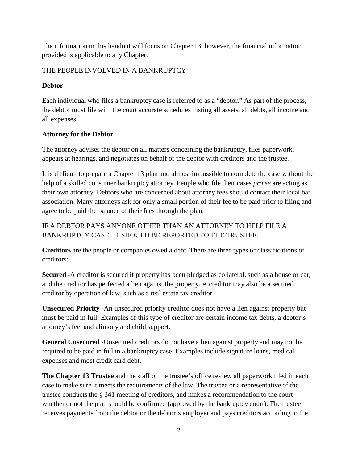The information in this handout will focus on Chapter 13; however, the financial information provided is applicable to any Chapter.

### THE PEOPLE INVOLVED IN A BANKRUPTCY

## **Debtor**

Each individual who files a bankruptcy case is referred to as a "debtor." As part of the process, the debtor must file with the court accurate schedules listing all assets, all debts, all income and all expenses.

### **Attorney for the Debtor**

The attorney advises the debtor on all matters concerning the bankruptcy, files paperwork, appears at hearings, and negotiates on behalf of the debtor with creditors and the trustee.

It is difficult to prepare a Chapter 13 plan and almost impossible to complete the case without the help of a skilled consumer bankruptcy attorney. People who file their cases *pro se* are acting as their own attorney. Debtors who are concerned about attorney fees should contact their local bar association. Many attorneys ask for only a small portion of their fee to be paid prior to filing and agree to be paid the balance of their fees through the plan.

# IF A DEBTOR PAYS ANYONE OTHER THAN AN ATTORNEY TO HELP FILE A BANKRUPTCY CASE, IT SHOULD BE REPORTED TO THE TRUSTEE.

**Creditors** are the people or companies owed a debt. There are three types or classifications of creditors:

**Secured** -A creditor is secured if property has been pledged as collateral, such as a house or car, and the creditor has perfected a lien against the property. A creditor may also be a secured creditor by operation of law, such as a real estate tax creditor.

**Unsecured Priority** -An unsecured priority creditor does not have a lien against property but must be paid in full. Examples of this type of creditor are certain income tax debts, a debtor's attorney's fee, and alimony and child support.

**General Unsecured** -Unsecured creditors do not have a lien against property and may not be required to be paid in full in a bankruptcy case. Examples include signature loans, medical expenses and most credit card debt.

**The Chapter 13 Trustee** and the staff of the trustee's office review all paperwork filed in each case to make sure it meets the requirements of the law. The trustee or a representative of the trustee conducts the § 341 meeting of creditors, and makes a recommendation to the court whether or not the plan should be confirmed (approved by the bankruptcy court). The trustee receives payments from the debtor or the debtor's employer and pays creditors according to the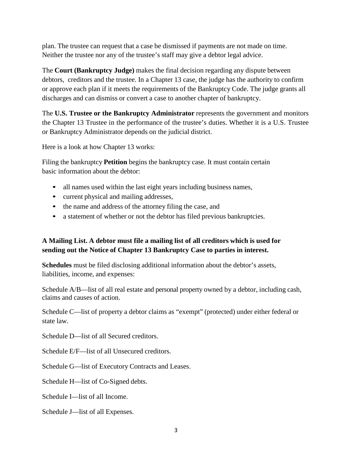plan. The trustee can request that a case be dismissed if payments are not made on time. Neither the trustee nor any of the trustee's staff may give a debtor legal advice.

The **Court (Bankruptcy Judge)** makes the final decision regarding any dispute between debtors, creditors and the trustee. In a Chapter 13 case, the judge has the authority to confirm or approve each plan if it meets the requirements of the Bankruptcy Code. The judge grants all discharges and can dismiss or convert a case to another chapter of bankruptcy.

The **U.S. Trustee or the Bankruptcy Administrator** represents the government and monitors the Chapter 13 Trustee in the performance of the trustee's duties. Whether it is a U.S. Trustee or Bankruptcy Administrator depends on the judicial district.

Here is a look at how Chapter 13 works:

Filing the bankruptcy **Petition** begins the bankruptcy case. It must contain certain basic information about the debtor:

- all names used within the last eight years including business names,
- current physical and mailing addresses,
- the name and address of the attorney filing the case, and
- a statement of whether or not the debtor has filed previous bankruptcies.

## **A Mailing List. A debtor must file a mailing list of all creditors which is used for sending out the Notice of Chapter 13 Bankruptcy Case to parties in interest.**

**Schedules** must be filed disclosing additional information about the debtor's assets, liabilities, income, and expenses:

Schedule A/B—list of all real estate and personal property owned by a debtor, including cash, claims and causes of action.

Schedule C—list of property a debtor claims as "exempt" (protected) under either federal or state law.

Schedule D—list of all Secured creditors.

Schedule E/F—list of all Unsecured creditors.

Schedule G—list of Executory Contracts and Leases.

Schedule H—list of Co-Signed debts.

Schedule I—list of all Income.

Schedule J—list of all Expenses.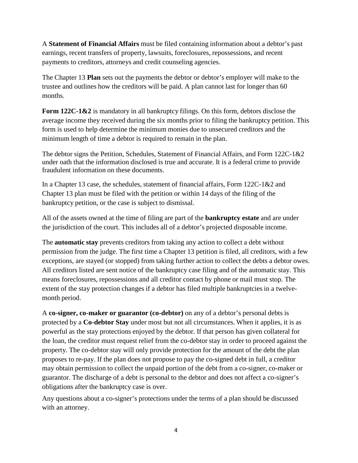A **Statement of Financial Affairs** must be filed containing information about a debtor's past earnings, recent transfers of property, lawsuits, foreclosures, repossessions, and recent payments to creditors, attorneys and credit counseling agencies.

The Chapter 13 **Plan** sets out the payments the debtor or debtor's employer will make to the trustee and outlines how the creditors will be paid. A plan cannot last for longer than 60 months.

**Form 122C-1&2** is mandatory in all bankruptcy filings. On this form, debtors disclose the average income they received during the six months prior to filing the bankruptcy petition. This form is used to help determine the minimum monies due to unsecured creditors and the minimum length of time a debtor is required to remain in the plan.

The debtor signs the Petition, Schedules, Statement of Financial Affairs, and Form 122C-1&2 under oath that the information disclosed is true and accurate. It is a federal crime to provide fraudulent information on these documents.

In a Chapter 13 case, the schedules, statement of financial affairs, Form 122C-1&2 and Chapter 13 plan must be filed with the petition or within 14 days of the filing of the bankruptcy petition, or the case is subject to dismissal.

All of the assets owned at the time of filing are part of the **bankruptcy estate** and are under the jurisdiction of the court. This includes all of a debtor's projected disposable income.

The **automatic stay** prevents creditors from taking any action to collect a debt without permission from the judge. The first time a Chapter 13 petition is filed, all creditors, with a few exceptions, are stayed (or stopped) from taking further action to collect the debts a debtor owes. All creditors listed are sent notice of the bankruptcy case filing and of the automatic stay. This means foreclosures, repossessions and all creditor contact by phone or mail must stop. The extent of the stay protection changes if a debtor has filed multiple bankruptcies in a twelvemonth period.

A **co-signer, co-maker or guarantor (co-debtor)** on any of a debtor's personal debts is protected by a **Co-debtor Stay** under most but not all circumstances. When it applies, it is as powerful as the stay protections enjoyed by the debtor. If that person has given collateral for the loan, the creditor must request relief from the co-debtor stay in order to proceed against the property. The co-debtor stay will only provide protection for the amount of the debt the plan proposes to re-pay. If the plan does not propose to pay the co-signed debt in full, a creditor may obtain permission to collect the unpaid portion of the debt from a co-signer, co-maker or guarantor. The discharge of a debt is personal to the debtor and does not affect a co-signer's obligations after the bankruptcy case is over.

Any questions about a co-signer's protections under the terms of a plan should be discussed with an attorney.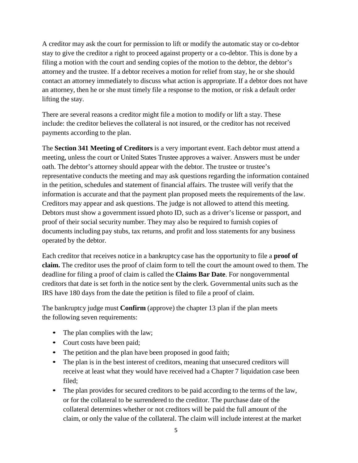A creditor may ask the court for permission to lift or modify the automatic stay or co-debtor stay to give the creditor a right to proceed against property or a co-debtor. This is done by a filing a motion with the court and sending copies of the motion to the debtor, the debtor's attorney and the trustee. If a debtor receives a motion for relief from stay, he or she should contact an attorney immediately to discuss what action is appropriate. If a debtor does not have an attorney, then he or she must timely file a response to the motion, or risk a default order lifting the stay.

There are several reasons a creditor might file a motion to modify or lift a stay. These include: the creditor believes the collateral is not insured, or the creditor has not received payments according to the plan.

The **Section 341 Meeting of Creditors** is a very important event. Each debtor must attend a meeting, unless the court or United States Trustee approves a waiver. Answers must be under oath. The debtor's attorney should appear with the debtor. The trustee or trustee's representative conducts the meeting and may ask questions regarding the information contained in the petition, schedules and statement of financial affairs. The trustee will verify that the information is accurate and that the payment plan proposed meets the requirements of the law. Creditors may appear and ask questions. The judge is not allowed to attend this meeting. Debtors must show a government issued photo ID, such as a driver's license or passport, and proof of their social security number. They may also be required to furnish copies of documents including pay stubs, tax returns, and profit and loss statements for any business operated by the debtor.

Each creditor that receives notice in a bankruptcy case has the opportunity to file a **proof of claim.** The creditor uses the proof of claim form to tell the court the amount owed to them. The deadline for filing a proof of claim is called the **Claims Bar Date**. For nongovernmental creditors that date is set forth in the notice sent by the clerk. Governmental units such as the IRS have 180 days from the date the petition is filed to file a proof of claim.

The bankruptcy judge must **Confirm** (approve) the chapter 13 plan if the plan meets the following seven requirements:

- The plan complies with the law;
- Court costs have been paid;
- The petition and the plan have been proposed in good faith;
- The plan is in the best interest of creditors, meaning that unsecured creditors will receive at least what they would have received had a Chapter 7 liquidation case been filed;
- The plan provides for secured creditors to be paid according to the terms of the law, or for the collateral to be surrendered to the creditor. The purchase date of the collateral determines whether or not creditors will be paid the full amount of the claim, or only the value of the collateral. The claim will include interest at the market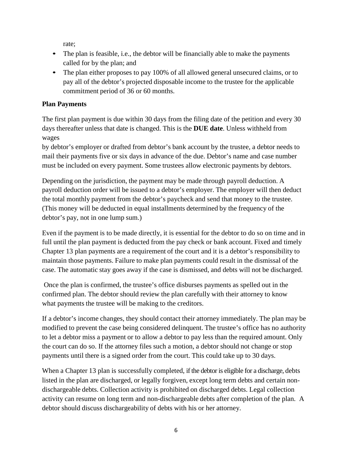rate;

- The plan is feasible, i.e., the debtor will be financially able to make the payments called for by the plan; and
- The plan either proposes to pay 100% of all allowed general unsecured claims, or to pay all of the debtor's projected disposable income to the trustee for the applicable commitment period of 36 or 60 months.

### **Plan Payments**

The first plan payment is due within 30 days from the filing date of the petition and every 30 days thereafter unless that date is changed. This is the **DUE date**. Unless withheld from wages

by debtor's employer or drafted from debtor's bank account by the trustee, a debtor needs to mail their payments five or six days in advance of the due. Debtor's name and case number must be included on every payment. Some trustees allow electronic payments by debtors.

Depending on the jurisdiction, the payment may be made through payroll deduction. A payroll deduction order will be issued to a debtor's employer. The employer will then deduct the total monthly payment from the debtor's paycheck and send that money to the trustee. (This money will be deducted in equal installments determined by the frequency of the debtor's pay, not in one lump sum.)

Even if the payment is to be made directly, it is essential for the debtor to do so on time and in full until the plan payment is deducted from the pay check or bank account. Fixed and timely Chapter 13 plan payments are a requirement of the court and it is a debtor's responsibility to maintain those payments. Failure to make plan payments could result in the dismissal of the case. The automatic stay goes away if the case is dismissed, and debts will not be discharged.

Once the plan is confirmed, the trustee's office disburses payments as spelled out in the confirmed plan. The debtor should review the plan carefully with their attorney to know what payments the trustee will be making to the creditors.

If a debtor's income changes, they should contact their attorney immediately. The plan may be modified to prevent the case being considered delinquent. The trustee's office has no authority to let a debtor miss a payment or to allow a debtor to pay less than the required amount. Only the court can do so. If the attorney files such a motion, a debtor should not change or stop payments until there is a signed order from the court. This could take up to 30 days.

When a Chapter 13 plan is successfully completed, if the debtor is eligible for a discharge, debts listed in the plan are discharged, or legally forgiven, except long term debts and certain nondischargeable debts. Collection activity is prohibited on discharged debts. Legal collection activity can resume on long term and non-dischargeable debts after completion of the plan. A debtor should discuss dischargeability of debts with his or her attorney.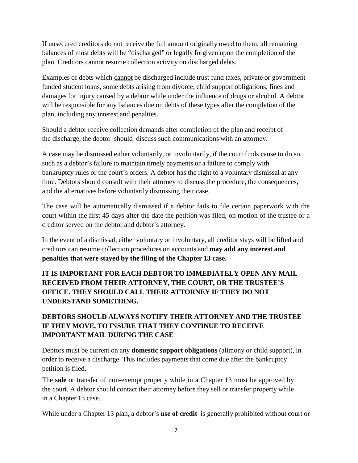If unsecured creditors do not receive the full amount originally owed to them, all remaining balances of most debts will be "discharged" or legally forgiven upon the completion of the plan. Creditors cannot resume collection activity on discharged debts.

Examples of debts which cannot be discharged include trust fund taxes, private or government funded student loans, some debts arising from divorce, child support obligations, fines and damages for injury caused by a debtor while under the influence of drugs or alcohol. A debtor will be responsible for any balances due on debts of these types after the completion of the plan, including any interest and penalties.

Should a debtor receive collection demands after completion of the plan and receipt of the discharge, the debtor should discuss such communications with an attorney.

A case may be dismissed either voluntarily, or involuntarily, if the court finds cause to do so, such as a debtor's failure to maintain timely payments or a failure to comply with bankruptcy rules or the court's orders. A debtor has the right to a voluntary dismissal at any time. Debtors should consult with their attorney to discuss the procedure, the consequences, and the alternatives before voluntarily dismissing their case.

The case will be automatically dismissed if a debtor fails to file certain paperwork with the court within the first 45 days after the date the petition was filed, on motion of the trustee or a creditor served on the debtor and debtor's attorney.

In the event of a dismissal, either voluntary or involuntary, all creditor stays will be lifted and creditors can resume collection procedures on accounts and **may add any interest and penalties that were stayed by the filing of the Chapter 13 case.**

**IT IS IMPORTANT FOR EACH DEBTOR TO IMMEDIATELY OPEN ANY MAIL RECEIVED FROM THEIR ATTORNEY, THE COURT, OR THE TRUSTEE'S OFFICE. THEY SHOULD CALL THEIR ATTORNEY IF THEY DO NOT UNDERSTAND SOMETHING.**

# **DEBTORS SHOULD ALWAYS NOTIFY THEIR ATTORNEY AND THE TRUSTEE IF THEY MOVE, TO INSURE THAT THEY CONTINUE TO RECEIVE IMPORTANT MAIL DURING THE CASE**

Debtors must be current on any **domestic support obligations** (alimony or child support), in order to receive a discharge. This includes payments that come due after the bankruptcy petition is filed.

The **sale** or transfer of non-exempt property while in a Chapter 13 must be approved by the court. A debtor should contact their attorney before they sell or transfer property while in a Chapter 13 case.

While under a Chapter 13 plan, a debtor's **use of credit** is generally prohibited without court or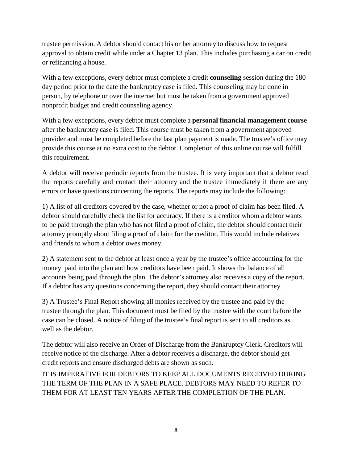trustee permission. A debtor should contact his or her attorney to discuss how to request approval to obtain credit while under a Chapter 13 plan. This includes purchasing a car on credit or refinancing a house.

With a few exceptions, every debtor must complete a credit **counseling** session during the 180 day period prior to the date the bankruptcy case is filed. This counseling may be done in person, by telephone or over the internet but must be taken from a government approved nonprofit budget and credit counseling agency.

With a few exceptions, every debtor must complete a **personal financial management course**  after the bankruptcy case is filed. This course must be taken from a government approved provider and must be completed before the last plan payment is made. The trustee's office may provide this course at no extra cost to the debtor. Completion of this online course will fulfill this requirement.

A debtor will receive periodic reports from the trustee. It is very important that a debtor read the reports carefully and contact their attorney and the trustee immediately if there are any errors or have questions concerning the reports. The reports may include the following:

1) A list of all creditors covered by the case, whether or not a proof of claim has been filed. A debtor should carefully check the list for accuracy. If there is a creditor whom a debtor wants to be paid through the plan who has not filed a proof of claim, the debtor should contact their attorney promptly about filing a proof of claim for the creditor. This would include relatives and friends to whom a debtor owes money.

2) A statement sent to the debtor at least once a year by the trustee's office accounting for the money paid into the plan and how creditors have been paid. It shows the balance of all accounts being paid through the plan. The debtor's attorney also receives a copy of the report. If a debtor has any questions concerning the report, they should contact their attorney.

3) A Trustee's Final Report showing all monies received by the trustee and paid by the trustee through the plan. This document must be filed by the trustee with the court before the case can be closed. A notice of filing of the trustee's final report is sent to all creditors as well as the debtor.

The debtor will also receive an Order of Discharge from the Bankruptcy Clerk. Creditors will receive notice of the discharge. After a debtor receives a discharge, the debtor should get credit reports and ensure discharged debts are shown as such.

IT IS IMPERATIVE FOR DEBTORS TO KEEP ALL DOCUMENTS RECEIVED DURING THE TERM OF THE PLAN IN A SAFE PLACE. DEBTORS MAY NEED TO REFER TO THEM FOR AT LEAST TEN YEARS AFTER THE COMPLETION OF THE PLAN.